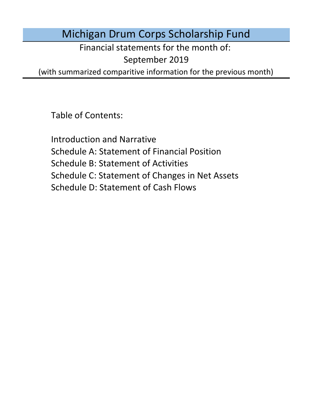Michigan Drum Corps Scholarship Fund

Financial statements for the month of:

September 2019

(with summarized comparitive information for the previous month)

Table of Contents:

Schedule D: Statement of Cash Flows Introduction and Narrative Schedule A: Statement of Financial Position Schedule B: Statement of Activities Schedule C: Statement of Changes in Net Assets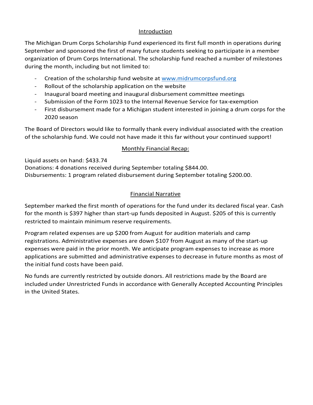### Introduction

The Michigan Drum Corps Scholarship Fund experienced its first full month in operations during September and sponsored the first of many future students seeking to participate in a member organization of Drum Corps International. The scholarship fund reached a number of milestones

- during the month, including but not limited to:<br>- Creation of the scholarship fund website at www.midrumcorpsfund.org
	-
	-
	- Rollout of the scholarship application on the website<br>Inaugural board meeting and inaugural disbursement committee meetings<br>Submission of the Form 1023 to the Internal Revenue Service for tax-exemption<br>First disbursement m
	- 2020 season

The Board of Directors would like to formally thank every individual associated with the creation of the scholarship fund. We could not have made it this far without your continued support!

## Monthly Financial Recap:

Liquid assets on hand: \$433.74 Donations: 4 donations received during September totaling \$844.00. Disbursements: 1 program related disbursement during September totaling \$200.00.

## Financial Narrative

September marked the first month of operations for the fund under its declared fiscal year. Cash for the month is \$397 higher than start-up funds deposited in August. \$205 of this is currently restricted to maintain minimum reserve requirements.

Program related expenses are up \$200 from August for audition materials and camp registrations. Administrative expenses are down \$107 from August as many of the start-up expenses were paid in the prior month. We anticipate program expenses to increase as more applications are submitted and administrative expenses to decrease in future months as most of the initial fund costs have been paid.

No funds are currently restricted by outside donors. All restrictions made by the Board are included under Unrestricted Funds in accordance with Generally Accepted Accounting Principles in the United States.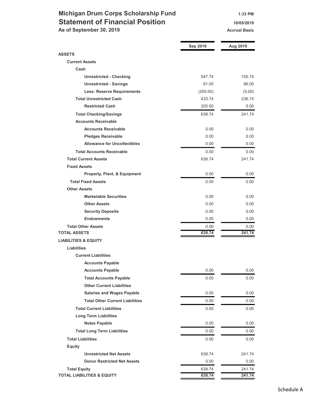## Michigan Drum Corps Scholarship Fund 1:33 PM Statement of Financial Position 10/05/2019

As of September 30, 2019 Accrual Basis Accrual Basis

|                                        | Sep 2019 | Aug 2019 |
|----------------------------------------|----------|----------|
| <b>ASSETS</b>                          |          |          |
| <b>Current Assets</b>                  |          |          |
| Cash                                   |          |          |
| <b>Unrestricted - Checking</b>         | 547.74   | 155.74   |
| <b>Unrestricted - Savings</b>          | 91.00    | 86.00    |
| <b>Less: Reserve Requirements</b>      | (205.00) | (5.00)   |
| <b>Total Unrestricted Cash</b>         | 433.74   | 236.74   |
| <b>Restricted Cash</b>                 | 205.00   | 5.00     |
| <b>Total Checking/Savings</b>          | 638.74   | 241.74   |
| <b>Accounts Receivable</b>             |          |          |
| <b>Accounts Receivable</b>             | 0.00     | 0.00     |
| <b>Pledges Receivable</b>              | 0.00     | 0.00     |
| <b>Allowance for Uncollectibles</b>    | 0.00     | 0.00     |
| <b>Total Accounts Receivable</b>       | 0.00     | 0.00     |
| <b>Total Current Assets</b>            | 638.74   | 241.74   |
| <b>Fixed Assets</b>                    |          |          |
| Property, Plant, & Equipment           | 0.00     | 0.00     |
| <b>Total Fixed Assets</b>              | 0.00     | 0.00     |
| <b>Other Assets</b>                    |          |          |
| <b>Marketable Securities</b>           | 0.00     | 0.00     |
| <b>Other Assets</b>                    | 0.00     | 0.00     |
| <b>Security Deposits</b>               | 0.00     | 0.00     |
| <b>Endowments</b>                      | 0.00     | 0.00     |
| <b>Total Other Assets</b>              | 0.00     | 0.00     |
| <b>TOTAL ASSETS</b>                    | 638.74   | 241.74   |
| <b>LIABILITIES &amp; EQUITY</b>        |          |          |
| <b>Liabilities</b>                     |          |          |
| <b>Current Liabilities</b>             |          |          |
| <b>Accounts Payable</b>                |          |          |
| <b>Accounts Payable</b>                | 0.00     | 0.00     |
| <b>Total Accounts Payable</b>          | 0.00     | 0.00     |
| <b>Other Current Liabilities</b>       |          |          |
| <b>Salaries and Wages Payable</b>      | 0.00     | 0.00     |
| <b>Total Other Current Liabilities</b> | 0.00     | 0.00     |
| <b>Total Current Liabilities</b>       | 0.00     | 0.00     |
| <b>Long Term Liabilities</b>           |          |          |
| <b>Notes Payable</b>                   | 0.00     | 0.00     |
| <b>Total Long Term Liabilities</b>     | 0.00     | 0.00     |
| <b>Total Liabilities</b>               | 0.00     | 0.00     |
| <b>Equity</b>                          |          |          |
| <b>Unrestricted Net Assets</b>         | 638.74   | 241.74   |
| <b>Donor Restricted Net Assets</b>     | 0.00     | 0.00     |
| <b>Total Equity</b>                    | 638.74   | 241.74   |
| <b>TOTAL LIABILITIES &amp; EQUITY</b>  | 638.74   | 241.74   |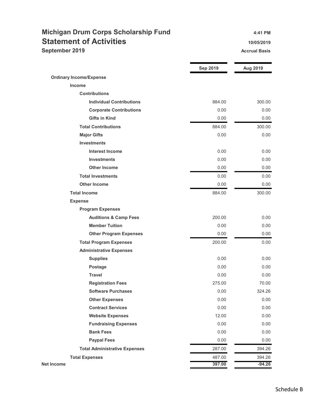# Michigan Drum Corps Scholarship Fund 4:41 PM Statement of Activities 10/05/2019

September 2019 **Accrual Basis Accrual Basis Accrual Basis** 

|                                      | <b>Sep 2019</b> | Aug 2019 |
|--------------------------------------|-----------------|----------|
| <b>Ordinary Income/Expense</b>       |                 |          |
| <b>Income</b>                        |                 |          |
| <b>Contributions</b>                 |                 |          |
| <b>Individual Contributions</b>      | 884.00          | 300.00   |
| <b>Corporate Contributions</b>       | 0.00            | 0.00     |
| <b>Gifts in Kind</b>                 | 0.00            | 0.00     |
| <b>Total Contributions</b>           | 884.00          | 300.00   |
| <b>Major Gifts</b>                   | 0.00            | 0.00     |
| <b>Investments</b>                   |                 |          |
| <b>Interest Income</b>               | 0.00            | 0.00     |
| <b>Investments</b>                   | 0.00            | 0.00     |
| <b>Other Income</b>                  | 0.00            | 0.00     |
| <b>Total Investments</b>             | 0.00            | 0.00     |
| <b>Other Income</b>                  | 0.00            | 0.00     |
| <b>Total Income</b>                  | 884.00          | 300.00   |
| <b>Expense</b>                       |                 |          |
| <b>Program Expenses</b>              |                 |          |
| <b>Auditions &amp; Camp Fees</b>     | 200.00          | 0.00     |
| <b>Member Tuition</b>                | 0.00            | 0.00     |
| <b>Other Program Expenses</b>        | 0.00            | 0.00     |
| <b>Total Program Expenses</b>        | 200.00          | 0.00     |
| <b>Administrative Expenses</b>       |                 |          |
| <b>Supplies</b>                      | 0.00            | 0.00     |
| Postage                              | 0.00            | 0.00     |
| <b>Travel</b>                        | 0.00            | 0.00     |
| <b>Registration Fees</b>             | 275.00          | 70.00    |
| <b>Software Purchases</b>            | 0.00            | 324.26   |
| <b>Other Expenses</b>                | 0.00            | 0.00     |
| <b>Contract Services</b>             | 0.00            | 0.00     |
| <b>Website Expenses</b>              | 12.00           | 0.00     |
| <b>Fundraising Expenses</b>          | 0.00            | 0.00     |
| <b>Bank Fees</b>                     | 0.00            | 0.00     |
| <b>Paypal Fees</b>                   | 0.00            | 0.00     |
| <b>Total Administrative Expenses</b> | 287.00          | 394.26   |
| <b>Total Expenses</b>                | 487.00          | 394.26   |
| Net Income                           | 397.00          | $-94.26$ |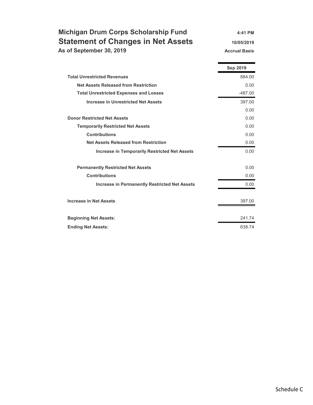| Michigan Drum Corps Scholarship Fund      | $4:41$ PM            |
|-------------------------------------------|----------------------|
| <b>Statement of Changes in Net Assets</b> | 10/05/2019           |
| As of September 30, 2019                  | <b>Accrual Basis</b> |

|                                                      | <b>Sep 2019</b> |
|------------------------------------------------------|-----------------|
| <b>Total Unrestricted Revenues</b>                   | 884.00          |
| <b>Net Assets Released from Restriction</b>          | 0.00            |
| <b>Total Unrestricted Expenses and Losses</b>        | $-487.00$       |
| <b>Increase in Unrestricted Net Assets</b>           | 397.00          |
|                                                      | 0.00            |
| <b>Donor Restricted Net Assets</b>                   | 0.00            |
| <b>Temporarily Restricted Net Assets</b>             | 0.00            |
| <b>Contributions</b>                                 | 0.00            |
| <b>Net Assets Released from Restriction</b>          | 0.00            |
| <b>Increase in Temporarily Restricted Net Assets</b> | 0.00            |
| <b>Permanently Restricted Net Assets</b>             | 0.00            |
| <b>Contributions</b>                                 | 0.00            |
| <b>Increase in Permanently Restricted Net Assets</b> | 0.00            |
| <b>Increase in Net Assets</b>                        | 397.00          |
| <b>Beginning Net Assets:</b>                         | 241.74          |
| <b>Ending Net Assets:</b>                            | 638.74          |